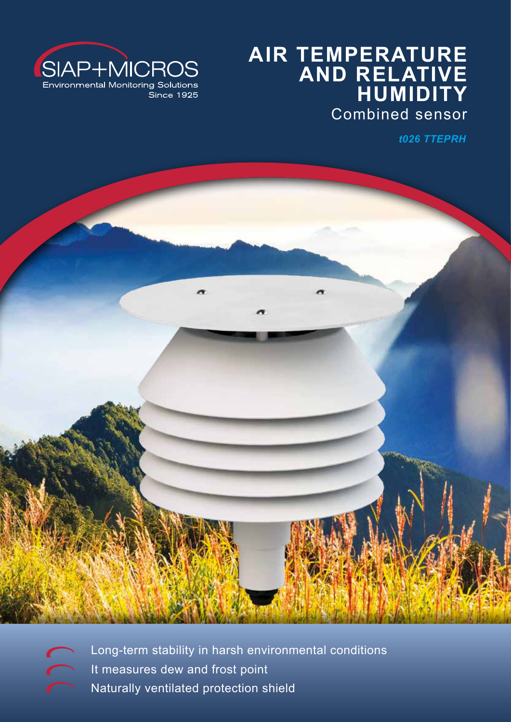

# **AIR TEMPERATURE AND RELATIVE HUMIDITY** Combined sensor

*t026 TTEPRH*



Long-term stability in harsh environmental conditions It measures dew and frost point Naturally ventilated protection shield